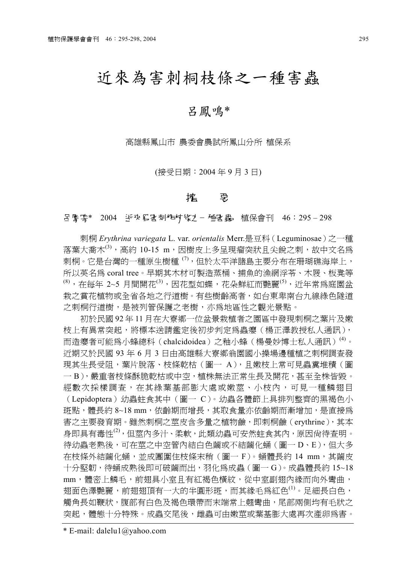# 近來為害刺桐枝條之㆒種害蟲

## 呂鳳鳴\*

高雄縣鳳山市 農委會農試所鳳山分所 植保系

(接受日期:2004 年 9 月 3 日)

#### 篕 璶

**呂麝鷹\* 2004 近來爲害刺柿杖條1−種害蟲 植保會刊 46:295-298** 

刺桐 *Erythrina variegata* L. var. *orientalis* Merr.是豆科(Leguminosae)之㆒種 落葉大喬木 $^{(3)}$ , 高約 10-15 m, 因樹皮上多呈現瘤突狀且尖銳之刺,故中文名為 刺桐。它是台灣的一種原生樹種<sup>(7)</sup>,但於太平洋諸島主要分布在珊瑚礁海岸上, 所以英名為 coral tree。早期其木材可製造蒸桶、捕魚的漁網浮苓、木屐、板凳等  $^{(8)}$ , 在每年 2~5 月間開花 $^{(3)}$ , 因花型如蝶, 花朵鮮紅而艷麗 $^{(5)}$ , 近年常為庭園盆 栽之賞花植物或全省各地之行道樹。有些樹齡高者,如台東卑南台九線綠色隧道 之刺桐行道樹,是被列管保護之老樹,亦為㆞區性之觀光景點。

初於民國92年11月在大寮鄉一位盆景栽植者之園區中發現刺桐之葉片及嫩 枝上有異常突起,將標本送請鑑定後初步判定為轟癭(楊正澤教授私人通訊), 而造癭者可能爲小蜂總科(chalcidoidea)之釉小蜂(楊曼妙博士私人通訊)<sup>(4)</sup>。 近期又於民國 93 年 6 月 3 日由高雄縣大寮鄉翁園國小操場邊種植之刺桐調查發 現其生長受阻,葉片脫落、枝條乾枯 (圖一 A), 且嫩枝上常可見蟲糞堆積 (圖 一B),嚴重者枝條酥脆乾枯或中空,植株無法正常生長及開花,甚至全株皆毀。 經數次採樣調查,在其綠葉基部膨大處或嫩莖、小枝內,可見一種鱗翅目 (Lepidoptera)幼蟲蛀食其中(圖一C)。幼蟲各體節上具排列整齊的黑褐色小 斑點,體長約 8~18 mm,依齡期而增長,其取食量亦依齡期而漸增加,是直接為 害之主要發育期。雖然刺桐之莖皮含多量之植物鹼,即刺桐鹼(erythrine),其本 身即具有毒性(2),但莖內多汁、柔軟,此類幼蟲可安然蛀食其內,原因尚待查明。 待幼蟲老熟後,可在莖之中空管內結白色繭或不結繭化蛹(圖一D、E),但大多 在枝條外結繭化蛹,並成團圍住枝條末稍(圖㆒ F)。蛹體長約 14 mm,其繭皮 十分堅韌,待蛹成熟後即可破繭而出,羽化為成蟲(圖㆒ G)。成蟲體長約 15~18 mm, 體密上鱗毛, 前翅具小室且有紅褐色橫紋, 從中室副翅內緣而向外彎曲, 翅面色澤艷麗,前翅翅頂有一大的半圓形斑,而其綠毛爲紅色<sup>(1)</sup>。足細長白色, 觸角長如鞭狀,腹部有白色及褐色環帶而末端常上翹彎曲,尾部兩側均有毛狀之 突起,體態十分特殊。成蟲交尾後,雌蟲可由嫩莖或葉基膨大處再次產卵為害。

\* E-mail: dalelu1@yahoo.com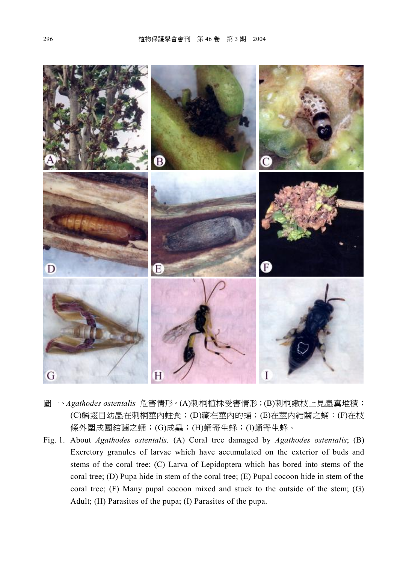

- 圖㆒、*Agathodes ostentalis* 危害情形。(A)刺桐植株受害情形;(B)刺桐嫩枝㆖見蟲糞堆積; (C)鱗翅目幼蟲在刺桐莖內蛀食;(D)藏在莖內的蛹;(E)在莖內結繭之蛹;(F)在枝 條外圍成團結繭之蛹;(G)成蟲;(H)蛹寄生蜂;(I)蛹寄生蜂。
- Fig. 1. About *Agathodes ostentalis.* (A) Coral tree damaged by *Agathodes ostentalis*; (B) Excretory granules of larvae which have accumulated on the exterior of buds and stems of the coral tree; (C) Larva of Lepidoptera which has bored into stems of the coral tree; (D) Pupa hide in stem of the coral tree; (E) Pupal cocoon hide in stem of the coral tree; (F) Many pupal cocoon mixed and stuck to the outside of the stem; (G) Adult; (H) Parasites of the pupa; (I) Parasites of the pupa.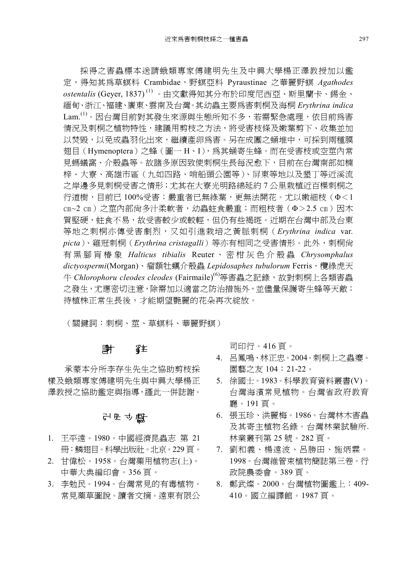採得之害蟲標本送請蛾類專家傅建明先生及中興大學楊正澤教授加以鑑 定,得知其為草螟科 Crambidae,野螟亞科 Pyraustinae 之華麗野螟 *Agathodes ostentalis* (Geyer, 1837) (1) 。由文獻得知其分布於印度尼西亞、斯里蘭卡、錫金、 緬甸、浙江、褔建、廣東、雲南及台灣。其幼蟲主要為害刺桐及海桐 *Erythrina indica* Lam.<sup>(1)</sup>。因台灣目前對其發生來源與生態所知不多,若需緊急處理,依目前為害 情況及刺桐之植物特性,建議用剪枝之方法,將受害枝條及嫩葉剪下、收集並加 以焚毀,以免成蟲羽化出來,繼續產卵為害。另在成團之蛹堆中,可採到兩種膜 翅目(Hymenoptera)之蜂(圖㆒ H、I),為其蛹寄生蜂。而在受害枝或空莖內常 見螞蟻窩、介殼蟲等。故諸多原因致使刺桐生長每況愈㆘,目前在台灣南部如楠 梓、大寮、高雄市區(九如四路、哨船頭公園等)、屏東等地以及墾丅等沂溪流 之岸邊多見刺桐受害之情形;尤其在大寮光明路綿延約 7 公里栽植近百棵刺桐之 行道樹,目前已 100%受害;嚴重者已無綠葉,更無法開花。尤以嫩細枝(Φ<1 ㎝~2 ㎝)之莖內部尚多汁柔軟者,幼蟲蛀食嚴重;而粗枝者(Φ>2.5 ㎝)因木 質堅硬,蛀食不易,故受害較少或較輕,但仍有些褐斑。近期在台灣中部及台東 等㆞之刺桐亦傳受害劇烈,又如引進栽培之黃脈刺桐(*Erythrina indica* var*. picta*)、雞冠刺桐(*Erythrina cristagalli*)等亦有相同之受害情形。此外,刺桐尚 有 黑 腳肓椿象 *Halticus tibialis* Reuter 、 密 柑 灰 色 介 殼 蟲 *Chrysomphalus dictyospermi*(Morgan)、瘤額牡蠣介殼蟲 *Lepidosaphes tubulorum* Ferris、欖綠虎㆝ 牛 Chlorophoru cleodes cleodes (Fairmaile)<sup>(6)</sup>等害蟲之記錄,故對刺桐上各類害蟲 之發生,尤應密切注意,除需加以適當之防治措施外,並儘量保護寄生蜂等天敵; 待植株正常生長後,才能期望艷麗的花朵再次綻放。

(關鍵詞:刺桐、莖、草螟科、華麗野螟)

#### 计 辞

承蒙本分所李存生先生之協助剪枝採 樣及蛾類專家傅建明先生與中興大學楊正 澤教授之協助鑑定與指導,謹此一併誌謝。

### 引用立儲

- 1. 王平遠。1980。中國經濟昆蟲志 第 21 冊:鱗翅目。科學出版社。北京。229 頁。
- 2. 甘偉松。1958。台灣藥用植物志(㆖)。 ㆗華大典編印會。356 頁。
- 3. 李勉民。1994。台灣常見的有毒植物。 常見藥草圖說。讀者文摘。遠東有限公

司印行。416 頁。

- 4. 呂鳳鳴、林正忠。2004。刺桐上之蟲癭。 園藝之友 104:21-22。
- 5. 徐國士。1983。科學教育資料叢書(V)。 台灣海濱常見植物。台灣省政府教育 廳。191 頁。
- 6. 張玉珍、洪麗梅。1986。台灣林木害蟲 及其寄主植物名錄。台灣林業試驗所. 林業叢刊第 25 號。282 頁。
- 7. 劉和義、楊遠波、呂勝田、施炳霖。 1998。台灣維管束植物簡誌第三卷。行 政院農委會。389 頁。
- 8. 鄭武燦。2000。台灣植物圖鑑㆖:409- 410。國立編譯館。1987 頁。